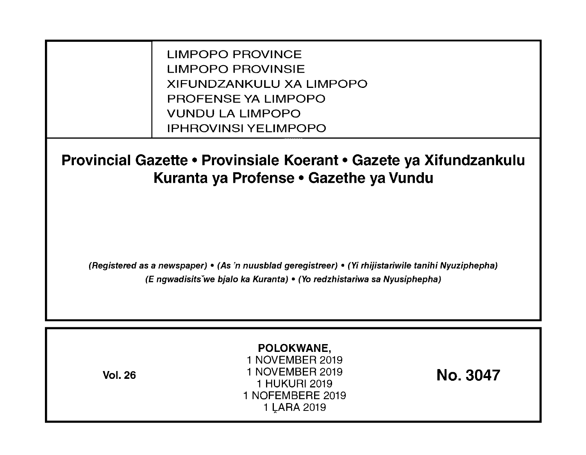LIMPOPO PROVINCE LIMPOPO PROVINSIE XIFUNDZANKULU XA LIMPOPO PROFENSE YA LIMPOPO VUNDU LA LIMPOPO IPHROVINSI YELIMPOPO

**Provincial Gazette • Provinsiale Koerant • Gazete ya Xifundzankulu Kuranta ya Profense • Gazethe ya Vundu** 

(Registered as a newspaper) • (As 'n nuusblad geregistreer) • (Yi rhijistariwile tanihi Nyuziphepha) (E ngwadisits we bjalo ka Kuranta) • (Yo redzhistariwa sa Nyusiphepha)

| <b>Vol. 26</b> | POLOKWANE,<br>1 NOVEMBER 2019<br>1 NOVEMBER 2019<br>1 HUKURI 2019<br>1 NOFEMBERE 2019<br>1 LARA 2019 | <b>No. 3047</b> |
|----------------|------------------------------------------------------------------------------------------------------|-----------------|
|----------------|------------------------------------------------------------------------------------------------------|-----------------|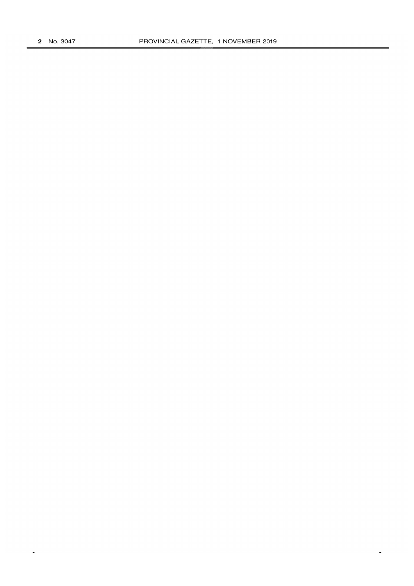$\Box$ 

 $\tilde{\phantom{a}}$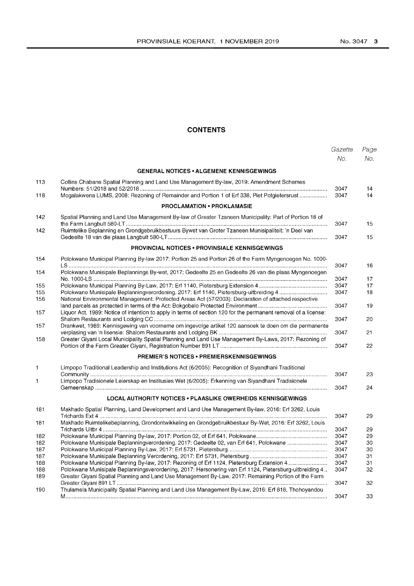### **CONTENTS**

|              |                                                                                                                                                                                               | Gazette<br>No. | Page<br>No. |
|--------------|-----------------------------------------------------------------------------------------------------------------------------------------------------------------------------------------------|----------------|-------------|
|              |                                                                                                                                                                                               |                |             |
|              | <b>GENERAL NOTICES • ALGEMENE KENNISGEWINGS</b>                                                                                                                                               |                |             |
| 113          | Collins Chabane Spatial Planning and Land Use Management By-law, 2019: Amendment Schemes                                                                                                      | 3047           | 14          |
| 118          | Mogalakwena LUMS, 2008: Rezoning of Remainder and Portion 1 of Erf 338, Piet Potgietersrust                                                                                                   | 3047           | 14          |
|              | <b>PROCLAMATION • PROKLAMASIE</b>                                                                                                                                                             |                |             |
| 142          | Spatial Planning and Land Use Management By-law of Greater Tzaneen Municipality: Part of Portion 18 of                                                                                        | 3047           | 15          |
| 142          | Ruimtelike Beplanning en Grondgebruikbestuurs Bywet van Groter Tzaneen Munisipaliteit: 'n Deel van                                                                                            | 3047           | 15          |
|              | <b>PROVINCIAL NOTICES . PROVINSIALE KENNISGEWINGS</b>                                                                                                                                         |                |             |
| 154          | Polokwane Municipal Planning By-law 2017: Portion 25 and Portion 26 of the Farm Myngenoegen No. 1000-                                                                                         |                |             |
|              |                                                                                                                                                                                               | 3047           | 16          |
| 154          | Polokwane Munisipale Beplannings By-wet, 2017: Gedeelte 25 en Gedeelte 26 van die plaas Myngenoegen                                                                                           | 3047           | 17          |
| 155          |                                                                                                                                                                                               | 3047           | 17          |
| 155<br>156   | Polokwane Munisipale Beplanningverordening, 2017: Erf 1140, Pietersburg-uitbreiding 4<br>National Environmental Management: Protected Areas Act (57/2003): Declaration of attached respective | 3047           | 18          |
|              |                                                                                                                                                                                               | 3047           | 19          |
| 157          | Liquor Act, 1989: Notice of intention to apply in terms of section 120 for the permanent removal of a license:                                                                                | 3047           | 20          |
| 157          | Drankwet, 1989: Kennisgewing van voorneme om ingevolge artikel 120 aansoek te doen om die permanente                                                                                          | 3047           | 21          |
| 158          | Greater Giyani Local Municipality Spatial Planning and Land Use Management By-Laws, 2017: Rezoning of                                                                                         | 3047           | 22          |
|              | <b>PREMIER'S NOTICES • PREMIERSKENNISGEWINGS</b>                                                                                                                                              |                |             |
| 1            | Limpopo Traditional Leadership and Institutions Act (6/2005): Recognition of Siyandhani Traditional                                                                                           |                |             |
|              |                                                                                                                                                                                               | 3047           | 23.         |
| $\mathbf{1}$ | Limpopo Tradisionele Leierskap en Institusies Wet (6/2005): Erkenning van Siyandhani Tradisionele                                                                                             | 3047           | 24          |
|              | LOCAL AUTHORITY NOTICES . PLAASLIKE OWERHEIDS KENNISGEWINGS                                                                                                                                   |                |             |
| 181          | Makhado Spatial Planning, Land Development and Land Use Management By-law, 2016: Erf 3262, Louis                                                                                              |                |             |
|              |                                                                                                                                                                                               | 3047           | 29          |
| 181          | Makhado Ruimtelikebeplanning, Grondontwikkeling en Grondgebruikbestuur By-Wet, 2016: Erf 3262, Louis                                                                                          | 3047           | 29          |
| 182          |                                                                                                                                                                                               | 3047           | 29          |
| 182          | Polokwane Munisipale Beplanningverordening, 2017: Gedeelte 02, van Erf 641, Polokwane                                                                                                         | 3047           | 30          |
| 187          |                                                                                                                                                                                               | 3047           | 30          |
| 187          |                                                                                                                                                                                               | 3047           | 31          |
| 188          | Polokwane Municipal Planning By-law, 2017: Rezoning of Erf 1124, Pietersburg Extension 4                                                                                                      | 3047           | 31          |
| 188          | Polokwane Munisipale Beplanningsverordening, 2017: Hersonering van Erf 1124, Pietersburg-uitbreiding 4                                                                                        | 3047           | 32          |
| 189          | Greater Giyani Spatial Planning and Land Use Management By-Law, 2017: Remaining Portion of the Farm                                                                                           | 3047           | 32          |
| 190          | Thulamela Municipality Spatial Planning and Land Use Management By-Law, 2016: Erf 818, Thohoyandou                                                                                            |                |             |
|              |                                                                                                                                                                                               | 3047           | 33          |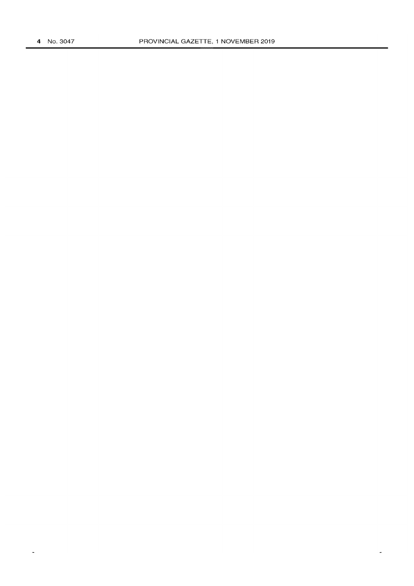$\Box$ 

 $\tilde{\phantom{a}}$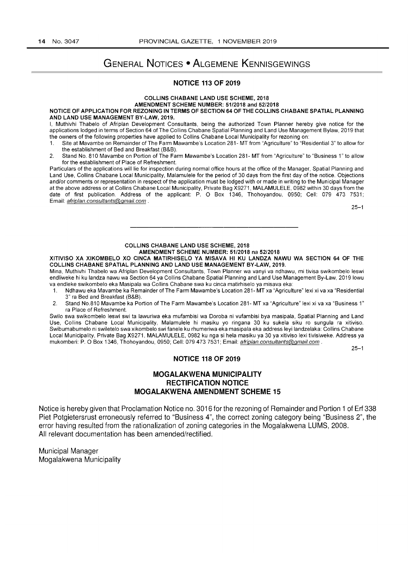## GENERAL NOTICES • ALGEMENE KENNISGEWINGS

### **NOTICE 113 OF** 2019

COLLINS CHABANE LAND USE SCHEME, 2018

AMENDMENT SCHEME NUMBER: 51/2018 and *52/2018*  NOTICE OF APPLICATION FOR REZONING IN TERMS OF SECTION 64 OF THE COLLINS CHABANE SPATIAL PLANNING

AND LAND USE MANAGEMENT BY-LAW, 2019.

I, Muthivhi Thabelo of Afriplan Development Consultants, being the authorized Town Planner hereby give notice for the applications lodged in terms of Section 64 ofThe Collins Chabane Spatial Planning and Land Use Management Bylaw, 2019 that the owners of the following properties have applied to Collins Chabane Local Municipality for rezoning on:

- 1. Site at Mavambe on Remainder of The Farm Mawambe's Location 281- MT from "Agriculture" to "Residential 3" to allow for the establishment of Bed and Breakfast (B&B).
- 2. Stand No. 810 Mavambe on Portion of The Farm Mawambe's Location 281- MT from "Agriculture" to "Business 1" to allow for the establishment of Place of Refreshment.

Particulars of the applications will lie for inspection during normal office hours at the office of the Manager, Spatial Planning and Land Use, Collins Chabane Local Municipality, Malamulele for the period of 30 days from the first day of the notice. Objections and/or comments or representation in respect of the application must be lodged with or made in writing to the Municipal Manager at the above address or at Collins Chabane Local Municipality, Private Bag X9271, MALAMULELE, 0982 within 30 days from the date of first publication. Address of the applicant: P. 0 Box 1346, Thohoyandou, 0950; Cell: 079 473 7531; Email: afriplan.consultants@gmail.com .

25-1

### COLLINS CHABANE LAND USE SCHEME, 2018

AMENDMENT SCHEME NUMBER: 51/2018 na *52/2018* 

XITIVISO XA XIKOMBELO XO CINCA MATIRHISELO YA MISAVA HI KU LANDZA NAWU WA SECTION 64 OF THE COLLINS CHABANE SPATIAL PLANNING AND LAND USE MANAGEMENT BY-LAW, 2019.

Mina, Muthivhi Thabelo wa Afriplan Development Consultants, Town Planner wa vanyi va ndhawu, mi tivisa swikombelo leswi endliweke hi ku landza nawu wa Section 64 ya Collins Chabane Spatial Planning and Land Use Management By-Law, 2019 lowu va endleke swikombelo eka Masipala wa Collins Chabane swa ku cinca matirhiselo ya misava eka:

- 1. Ndhawu eka Mavambe ka Remainder of The Farm Mawambe's Location 281- MT xa "Agriculture" lexi xi va xa "Residential 3" ra Bed and Breakfast (B&B).
- 2. Stand NO.810 Mavambe ka Portion of The Farm Mawambe's Location 281- MT xa "Agriculture" lexi xi va xa "Business 1" ra Place of Refreshment.

Swilo swa swikombelo leswi swi ta lawuriwa eka mufambisi wa Doroba ni vufambisi bya masipala, Spatial Planning and Land Use, Collins Chabane Local Municipality, Malamulele hi masiku yo ringana 30 ku sukela siku ro sungula ra xitiviso. Swibumabumelo ni swiletelo swa xikombelo swi fanele ku rhumeriwa eka masipala eka address leyi landzelaka: Collins Chabane Local Municipality, Private Bag X9271, MALAMULELE, 0982 ku nga si hela masiku ya 30 ya xitiviso lexi tivisiweke. Address ya mukomberi: P. O Box 1346, Thohoyandou, 0950; Cell: 079 473 7531; Email: afriplan.consultants@gmail.com .

 $25 - 1$ 

### **NOTICE 118 OF** 2019

### **MOGALAKWENA MUNICIPALITY RECTIFICATION NOTICE MOGALAKWENA AMENDMENT SCHEME 15**

Notice is hereby given that Proclamation Notice no. 3016 for the rezoning of Remainder and Portion 1 of Erf 338 Piet Potgietersrust erroneously referred to "Business 4", the correct zoning category being "Business 2", the error having resulted from the rationalization of zoning categories in the Mogalakwena LUMS, 2008. All relevant documentation has been amended/rectified.

Municipal Manager Mogalakwena Municipality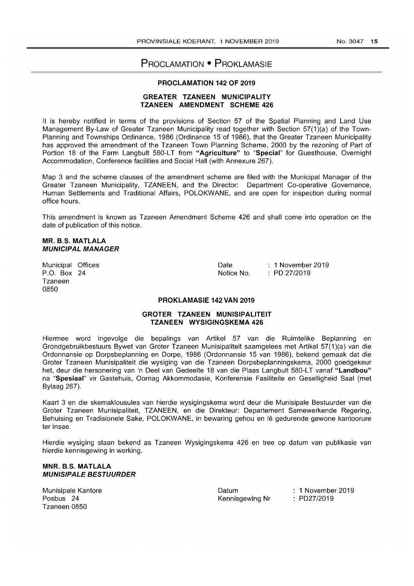### PROCLAMATION • PROKLAMASIE

### **PROCLAMATION 142 OF 2019**

### **GREATER TZANEEN MUNICIPALITY TZANEEN AMENDMENT SCHEME 426**

It is hereby notified in terms of the provisions of Section 57 of the Spatial Planning and Land Use Management By-Law of Greater Tzaneen Municipality read together with Section 57(1)(a) of the Town-Planning and Townships Ordinance, 1986 (Ordinance 15 of 1986), that the Greater Tzaneen Municipality has approved the amendment of the Tzaneen Town Planning Scheme, 2000 by the rezoning of Part of Portion 18 of the Farm Langbult 580-LT from "Agriculture" to "Special" for Guesthouse, Overnight Accommodation, Conference facilities and Social Hall (with Annexure 267).

Map 3 and the scheme clauses of the amendment scheme are filed with the Municipal Manager of the Greater Tzaneen Municipality, TZANEEN, and the Director: Department Co-operative Governance, Human Settlements and Traditional Affairs, POLOKWANE, and are open for inspection during normal office hours.

This amendment is known as Tzaneen Amendment Scheme 426 and shall come into operation on the date of publication of this notice.

### **MR.** B.S. **MATLALA MUNICIPAL MANAGER**

Municipal Offices P.O. Box 24 Tzaneen 0850

Date Notice No.

1 November 2019 PO 27/2019

### **PROKLAMASIE 142 VAN 2019**

### **GROTER TZANEEN MUNISIPALITEIT TZANEEN WYSIGINGSKEMA 426**

Hiermee word ingevolge die bepalings van Artikel 57 van die Ruimtelike Beplanning en Grondgebruikbestuurs Bywet van Groter Tzaneen Munisipaliteit saamgelees met Artikel 57(1 )(a) van die Ordonnansie op Dorpsbeplanning en Dorpe, 1986 (Ordonnansie 15 van 1986), bekend gemaak dat die Groter Tzaneen Munisipaliteit die wysiging van die Tzaneen Dorpsbeplanningskema, 2000 goedgekeur het, deur die hersonering van 'n Deel van Gedeelte 18 van die Plaas Langbult 580-LT vanaf "Landbou" na "Spesiaal" vir Gastehuis, Oornag Akkommodasie, Konferensie Fasiliteite en Geselligheid Saal (met Bylaag 267).

Kaart 3 en die skemaklousules van hierdie wysigingskema word deur die Munisipale Bestuurder van die Grater Tzaneen Munisipaliteit, TZANEEN, en die Direkteur: Departement Samewerkende Regering, Behuising en Tradisionele Sake, POLOKWANE, in bewaring gehou en Ie gedurende gewone kantoorure ter insae.

Hierdie wysiging staan bekend as Tzaneen Wysigingskema 426 en tree op datum van publikasie van hierdie kennisgewing in werking.

### **MNR.** B.S. **MATLALA MUNISIPALE BESTUURDER**

Munisipale Kantore Posbus 24 Tzaneen 0850

Datum Kennisgewing Nr

: 1 November 2019 PD27/2019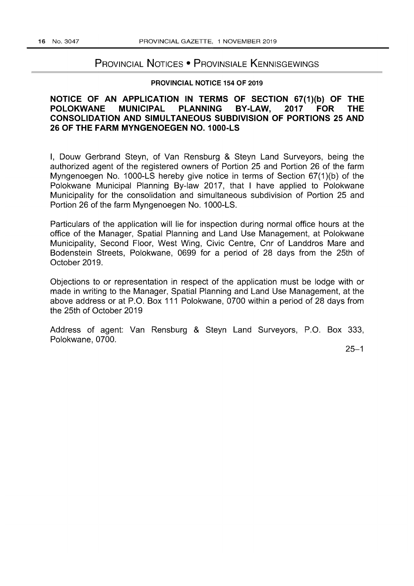### PROVINCIAL NOTICES • PROVINSIALE KENNISGEWINGS

### **PROVINCIAL NOTICE 154 OF 2019**

### **NOTICE OF AN APPLICATION IN TERMS OF SECTION 67(1)(b) OF THE POLOKWANE MUNICIPAL PLANNING BY-LAW, 2017 FOR THE CONSOLIDATION AND SIMULTANEOUS SUBDIVISION OF PORTIONS 25 AND 26 OF THE FARM MYNGENOEGEN NO.1 OOO-LS**

**I,** Douw Gerbrand Steyn, of Van Rensburg & Steyn Land Surveyors, being the authorized agent of the registered owners of Portion 25 and Portion 26 of the farm Myngenoegen No. 1000-LS hereby give notice in terms of Section 67(1 )(b) of the Polokwane Municipal Planning By-law 2017, that I have applied to Polokwane Municipality for the consolidation and simultaneous subdivision of Portion 25 and Portion 26 of the farm Myngenoegen No.1 OOO-LS.

Particulars of the application will lie for inspection during normal office hours at the office of the Manager, Spatial Planning and Land Use Management, at Polokwane Municipality, Second Floor, West Wing, Civic Centre, Cnr of Landdros Mare and Bodenstein Streets, Polokwane, 0699 for a period of 28 days from the 25th of October 2019.

Objections to or representation in respect of the application must be lodge with or made in writing to the Manager, Spatial Planning and Land Use Management, at the above address or at P.O. Box 111 Polokwane, 0700 within a period of 28 days from the 25th of October 2019

Address of agent: Van Rensburg & Steyn Land Surveyors, P.O. Box 333, Polokwane, 0700.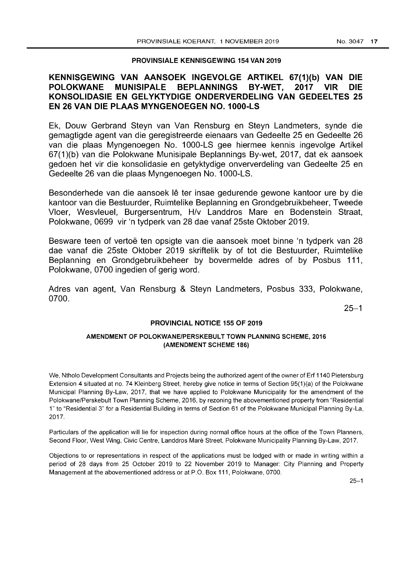### PROVINSIALE KENNISGEWING 154 VAN 2019

### KENNISGEWING VAN AANSOEK INGEVOLGE ARTIKEL 67(1)(b) VAN DIE POLOKWANE MUNISIPALE BEPLANNINGS BY-WET, 2017 VIR DIE KONSOLIDASIE EN GELYKTYDIGE ONDERVERDELING VAN GEDEELTES 25 EN 26 VAN DIE PLAAS MYNGENOEGEN NO. 1000-LS

Ek, Douw Gerbrand Steyn van Van Rensburg en Steyn Landmeters, synde die gemagtigde agent van die geregistreerde eienaars van Gedeelte 25 en Gedeelte 26 van die plaas Myngenoegen No. 1000-LS gee hiermee kennis ingevolge Artikel 67(1 )(b) van die Polokwane Munisipale Beplannings By-wet, 2017, dat ek aansoek gedoen het vir die konsolidasie en getyktydige onververdeling van Gedeelte 25 en Gedeelte 26 van die plaas Myngenoegen No.1 OOO-LS.

Besonderhede van die aansoek lê ter insae gedurende gewone kantoor ure by die kantoor van die Bestuurder, Ruimtelike Beplanning en Grondgebruikbeheer, Tweede Vloer, Wesvleuel, Burgersentrum, H/v Landdros Mare en Bodenstein Straat, Polokwane, 0699 vir 'n tydperk van 28 dae vanaf 25ste Oktober 2019.

Besware teen of vertoë ten opsigte van die aansoek moet binne 'n tydperk van 28 dae vanaf die 25ste Oktober 2019 skriftelik by of tot die Bestuurder, Ruimtelike Beplanning en Grondgebruikbeheer by bovermelde adres of by Posbus 111, Polokwane, 0700 ingedien of gerig word.

Adres van agent, Van Rensburg & Steyn Landmeters, Posbus 333, Polokwane, 0700.

 $25 - 1$ 

### PROVINCIAL NOTICE 155 OF 2019

### AMENDMENT OF POLOKWANE/PERSKEBULT TOWN PLANNING SCHEME, 2016 (AMENDMENT SCHEME 186)

We, Ntholo Development Consultants and Projects being the authorized agent of the owner of Erf 1140 Pietersburg Extension 4 situated at no. 74 Kleinberg Street, hereby give notice in terms of Section 95(1)(a) of the Polokwane Municipal Planning By-Law, 2017, that we have applied to Polokwane Municipality for the amendment of the Polokwane/Perskebult Town Planning Scheme, 2016, by rezoning the abovementioned property from "Residential 1" to "Residential 3" for a Residential Building in terms of Section 61 of the Polokwane Municipal Planning By-La, 2017.

Particulars of the application will lie for inspection during normal office hours at the office of the Town Planners, Second Floor, West Wing, Civic Centre, Landdros Mare Street, Polokwane Municipality Planning By-Law, 2017.

Objections to or representations in respect of the applications must be lodged with or made in writing within a period of 28 days from 25 October 2019 to 22 November 2019 to Manager: City Planning and Property Management at the abovementioned address or at P.O. Box 111, Polokwane, 0700.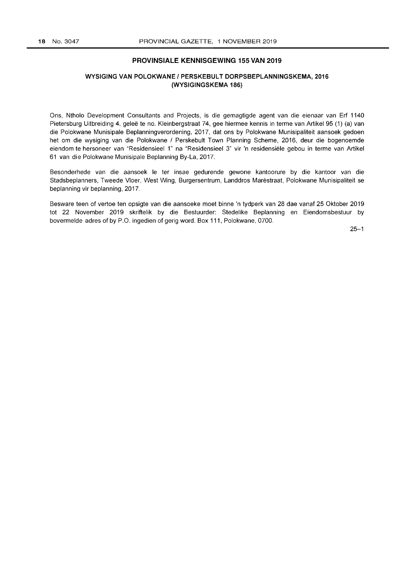### **PROVINSIALE KENNISGEWING 155 VAN 2019**

### **WYSIGING VAN POLOKWANE I PERSKEBULT DORPSBEPLANNINGSKEMA, 2016 (WYSIGINGSKEMA 186)**

Ons, Ntholo Development Consultants and Projects, is die gemagtigde agent van die eienaar van Erf 1140 Pietersburg Uitbreiding 4, geleë te no. Kleinbergstraat 74, gee hiermee kennis in terme van Artikel 95 (1) (a) van die Polokwane Munisipale Beplanningverordening, 2017, dat ons by Polokwane Munisipaliteit aansoek gedoen het om die wysiging van die Polokwane / Perskebult Town Planning Scheme, 2016, deur die bogenoemde eiendom te hersoneer van "Residensieel 1" na "Residensieel 3" vir 'n residensiele gebou in terme van Artikel 61 van die Polokwane Munisipale Beplanning By-La, 2017.

Besonderhede van die aansoek Ie ter insae gedurende gewone kantoorure by die kantoor van die Stadsbeplanners, Tweede Vloer, West Wing, Burgersentrum, Landdros Marestraat, Polokwane Munisipaliteit se beplanning vir beplanning, 2017.

Besware teen of vertoe ten opsigte van die aansoeke moet binne 'n tydperk van 28 dae vanaf 25 Oktober 2019 tot 22 November 2019 skriftelik by die Bestuurder: Stedelike Beplanning en Eiendomsbestuur by bovermelde adres of by P.O. ingedien of gerig word. Box **111,** Polokwane, 0700.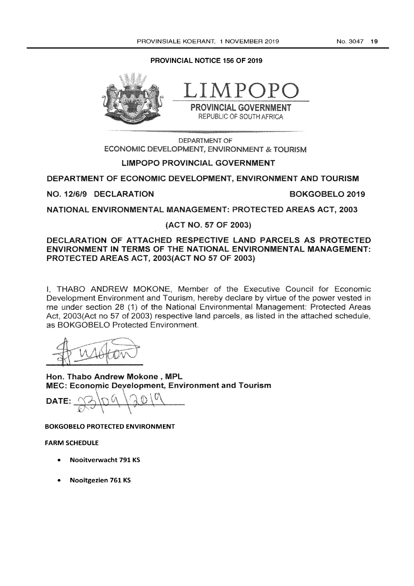**PROVINCIAL NOTICE 156 OF 2019** 



PROVINCIAL GOVERNMENT REPUBLIC OF SOUTH AFRICA

### DEPARTMENT OF ECONOMIC DEVELOPMENT, ENVIRONMENT &: TOURiSM

### LIMPOPO PROVINCIAL GOVERNMENT

DEPARTMENT OF ECONOMIC DEVELOPMENT, ENVIRONMENT AND TOURISM

NO. 12/6/9 DECLARATION BOKGOBELO 2019

NATIONAL ENVIRONMENTAL MANAGEMENT: PROTECTED AREAS ACT, 2003

### (ACT NO. 57 OF 2003)

### DECLARATION OF ATTACHED RESPECTIVE lAND PARCELS AS PROTECTED ENVIRONMENT IN TERMS OF THE NATIONAL ENVIRONMENTAL MANAGEMENT: PROTECTED AREAS ACT. 2003(ACT NO 57 OF 2003)

I, THABO ANDREW MOKONE, Member of the Executive Council for Economic Development Environment and Tourism, hereby declare by virtue of the power vested in me under section 28 (1) of the National Environmental Management: Protected Areas Act, 2003{Act no 57 of 2003) respective land parcels, as fisted in the attached schedule, as BOKGOBELO Protected Environment.

Hon. Thabo Andrew Mokone, MPL MEC: Economic Deyelopment. Environment and Tourism

\ \ DATE: \

**BOKGOBELO PROTECTED ENVIRONMENT** 

**FARM SCHEDULE** 

- **Nooitverwacht 791 KS**
- **Nooitgezien 761 KS**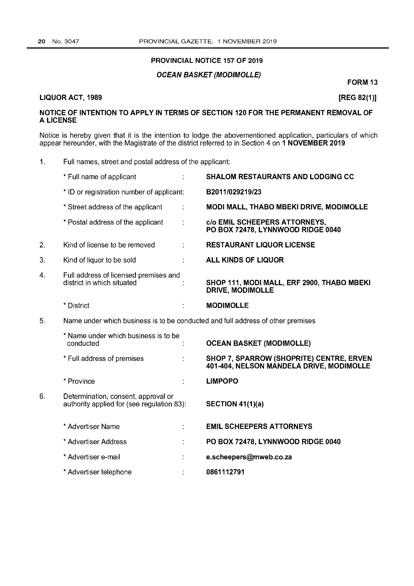2.

3.

4.

### PROVINCIAL NOTICE 157 OF 2019

### **OCEAN BASKET (MODIMOLLE)**

### LIQUOR ACT, 1989 [REG 82(1)]

FORM 13

### NOTICE OF INTENTION TO APPLY IN TERMS OF SECTION 120 FOR THE PERMANENT REMOVAL OF A LICENSE

Notice is hereby given that it is the intention to lodge the abovementioned application, particulars of which appear hereunder, with the Magistrate of the district referred to in Section 4 on **1 NOVEMBER 2019** 

1. Full names, street and postal address of the applicant:

| * Full name of applicant                                            |               | <b>SHALOM RESTAURANTS AND LODGING CC</b>                                  |
|---------------------------------------------------------------------|---------------|---------------------------------------------------------------------------|
| * ID or registration number of applicant:                           |               | B2011/029219/23                                                           |
| * Street address of the applicant                                   | $\mathcal{L}$ | <b>MODI MALL, THABO MBEKI DRIVE, MODIMOLLE</b>                            |
| * Postal address of the applicant                                   | ÷             | <b>c/o EMIL SCHEEPERS ATTORNEYS,</b><br>PO BOX 72478, LYNNWOOD RIDGE 0040 |
| Kind of license to be removed                                       | ÷             | <b>RESTAURANT LIQUOR LICENSE</b>                                          |
| Kind of liquor to be sold                                           |               | ALL KINDS OF LIQUOR                                                       |
| Full address of licensed premises and<br>district in which situated |               | SHOP 111, MODI MALL, ERF 2900, THABO MBEKI<br><b>DRIVE, MODIMOLLE</b>     |
| * District                                                          |               | <b>MODIMOLLE</b>                                                          |

5. Name under which business is to be conducted and full address of other premises

|    | * Name under which business is to be                                              |           |                                                                                      |
|----|-----------------------------------------------------------------------------------|-----------|--------------------------------------------------------------------------------------|
|    | conducted                                                                         | ٠         | <b>OCEAN BASKET (MODIMOLLE)</b>                                                      |
|    | * Full address of premises                                                        | $\bullet$ | SHOP 7, SPARROW (SHOPRITE) CENTRE, ERVEN<br>401-404, NELSON MANDELA DRIVE, MODIMOLLE |
|    | * Province                                                                        | ÷         | <b>LIMPOPO</b>                                                                       |
| 6. | Determination, consent, approval or<br>authority applied for (see regulation 83). |           | SECTION $41(1)(a)$                                                                   |
|    | * Advertiser Name                                                                 | ٠.        | <b>EMIL SCHEEPERS ATTORNEYS</b>                                                      |
|    | * Advertiser Address                                                              | ٠.        | PO BOX 72478, LYNNWOOD RIDGE 0040                                                    |
|    | * Advertiser e-mail                                                               | ÷         | e.scheepers@mweb.co.za                                                               |
|    | * Advertiser telephone                                                            | ٠         | 0861112791                                                                           |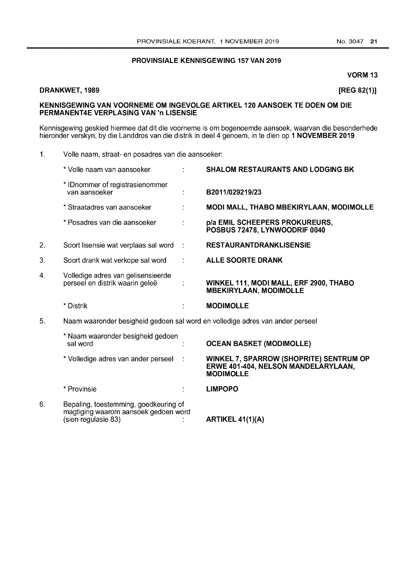### **PROVINSIALE KENNISGEWING 157 VAN 2019**

**VORM13** 

### **DRANKWET, 1989** [REG 82(1)]

2.

3.

4.

6.

### **KENNISGEWING VAN VOORNEME OM INGEVOLGE ARTIKEL 120 AANSOEK TE DOEN OM DIE PERMANENT4E VERPLASING VAN 'n LlSENSIE**

Kennisgewing geskied hiermee dat dit die voorneme is om bogenoemde aansoek, waarvan die besonderhede hieronder verskyn, by die Landdros van die distrik in deel4 genoem, in te dien op **1 NOVEMBER 2019** 

1. Volle naam, straat- en posadres van die aansoeker:

| * Volle naam van aansoeker                                            |   | <b>SHALOM RESTAURANTS AND LODGING BK</b>                                |
|-----------------------------------------------------------------------|---|-------------------------------------------------------------------------|
| * IDnommer of registrasienommer<br>van aansoeker                      |   | B2011/029219/23                                                         |
| * Straatadres van aansoeker                                           |   | <b>MODI MALL, THABO MBEKIRYLAAN, MODIMOLLE</b>                          |
| * Posadres van die aansoeker                                          | ÷ | p/a EMIL SCHEEPERS PROKUREURS,<br>POSBUS 72478, LYNWOODRIF 0040         |
| Soort lisensie wat verplaas sal word                                  | 2 | <b>RESTAURANTDRANKLISENSIE</b>                                          |
| Soort drank wat verkope sal word                                      | ÷ | ALLE SOORTE DRANK                                                       |
| Volledige adres van gelisensieerde<br>perseel en distrik waarin geleë | ÷ | WINKEL 111, MODI MALL, ERF 2900, THABO<br><b>MBEKIRYLAAN, MODIMOLLE</b> |
| Distrik                                                               |   | <b>MODIMOLLE</b>                                                        |
|                                                                       |   |                                                                         |

5. Naam waaronder besigheid gedoen sal word en volledige adres van ander perseel

| * Naam waaronder besigheid gedoen<br>sal word                                                        | $\blacksquare$ | <b>OCEAN BASKET (MODIMOLLE)</b>                                                                           |
|------------------------------------------------------------------------------------------------------|----------------|-----------------------------------------------------------------------------------------------------------|
| * Volledige adres van ander perseel                                                                  | $\sim$         | <b>WINKEL 7, SPARROW (SHOPRITE) SENTRUM OP</b><br>ERWE 401-404, NELSON MANDELARYLAAN,<br><b>MODIMOLLE</b> |
| * Provinsie                                                                                          | ٠              | <b>LIMPOPO</b>                                                                                            |
| Bepaling, toestemming, goedkeuring of<br>magtiging waarom aansoek gedoen word<br>(sien regulasie 83) |                | ARTIKEL $41(1)(A)$                                                                                        |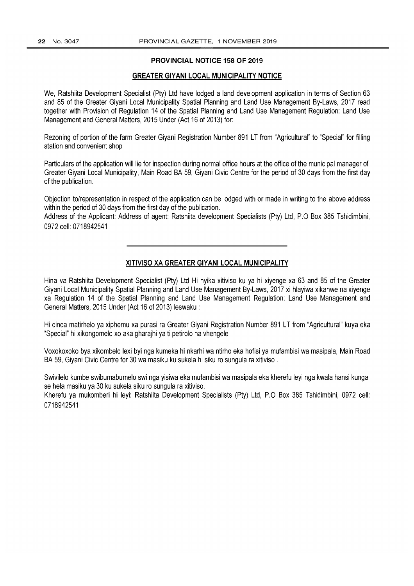### **PROVINCIAL NOTICE 158 OF 2019**

### **GREATER GIYANI LOCAL MUNICIPALITY NOTICE**

We, Ratshiita Development Specialist (Pty) Ltd have lodged a land development application in terms of Section 63 and 85 of the Greater Giyani Local Municipality Spatial Planning and Land Use Management By-Laws, 2017 read together with Provision of Regulation 14 of the Spatial Planning and Land Use Management Regulation: Land Use Management and General Matters, 2015 Under (Act 16 of 2013) for:

Rezoning of portion of the farm Greater Giyani Registration Number 891 LT from "Agricultural" to "Special" for filling station and convenient shop

Particulars of the application will lie for inspection during normal office hours at the office of the municipal manager of Greater Giyani Local Municipality, Main Road BA 59, Giyani Civic Centre for the period of 30 days from the first day of the publication.

Objection to/representation in respect of the application can be lodged with or made in writing to the above address within the period of 30 days from the first day of the publication.

Address of the Applicant: Address of agent: Ratshiita development Specialists (Pty) Ltd, P.O Box 385 Tshidimbini, 0972 cell: 0718942541

### **XITIVISO XA GREATER GIYANI LOCAL MUNICIPALITY**

Hina va Ratshiita Development Specialist (Pty) Ltd Hi nyika xitiviso ku ya hi xiyenge xa 63 and 85 of the Greater Giyani Local Municipality Spatial Planning and Land Use Management By-Laws, 2017 xi hlayiwa xikanwe na xiyenge xa Regulation 14 of the Spatial Planning and Land Use Management Regulation: Land Use Management and General Matters, 2015 Under (Act 16 of 2013) leswaku :

Hi cinca matirhelo ya xiphemu xa purasi ra Greater Giyani Registration Number 891 LT from "Agricultural" kuya eka "Special" hi xikongomelo xo aka gharajhi ya ti petirolo na vhengele

Voxokoxoko bya xikombelo lexi byi nga kumeka hi nkarhi wa ntirho eka hofisi ya mufambisi wa masipala, Main Road BA 59, Giyani Civic Centre for 30 wa masiku ku sukela hi siku ro sungula ra xitiviso .

Swivilelo kumbe swibumabumelo swi nga yisiwa eka mufambisi wa masipala eka kherefu leyi nga kwala hansi kunga se hela masiku ya 30 ku sukela siku ro sungula ra xitiviso.

Kherefu ya mukomberi hi leyi: Ratshiita Development Specialists (Pty) Ltd, P.O Box 385 Tshidimbini, 0972 cell: 0718942541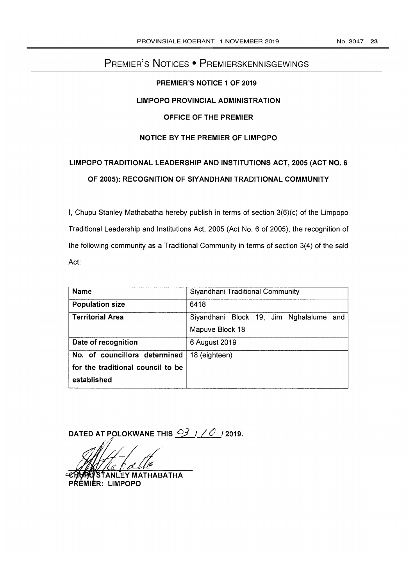# PREMIER'S NOTICES • PREMIERSKENNISGEWINGS

### PREMIER'S NOTICE 1 OF 2019

### LIMPOPO PROVINCIAL ADMINISTRATION

### OFFICE OF THE PREMIER

### NOTICE BY THE PREMIER OF LIMPOPO

# LIMPOPO TRADITIONAL LEADERSHIP AND INSTITUTIONS ACT, 2005 (ACT NO.6 OF 2005): RECOGNITION OF SIYANDHANI TRADITIONAL COMMUNITY

I, Chupu Stanley Mathabatha hereby publish in terms of section 3(6)(c) of the Limpopo Traditional Leadership and Institutions Act, 2005 (Act No.6 of 2005), the recognition of the following community as a Traditional Community in terms of section 3(4) of the said Act:

| <b>Name</b>                       | Siyandhani Traditional Community        |
|-----------------------------------|-----------------------------------------|
| <b>Population size</b>            | 6418                                    |
| <b>Territorial Area</b>           | Siyandhani Block 19, Jim Nghalalume and |
|                                   | Mapuve Block 18                         |
| Date of recognition               | 6 August 2019                           |
| No. of councillors determined     | 18 (eighteen)                           |
| for the traditional council to be |                                         |
| established                       |                                         |

DATED AT POLOKWANE THIS <u>03</u> 1 / 0 12019.

ANLEY MATHABATHA ÉMIÉR: LIMPOPO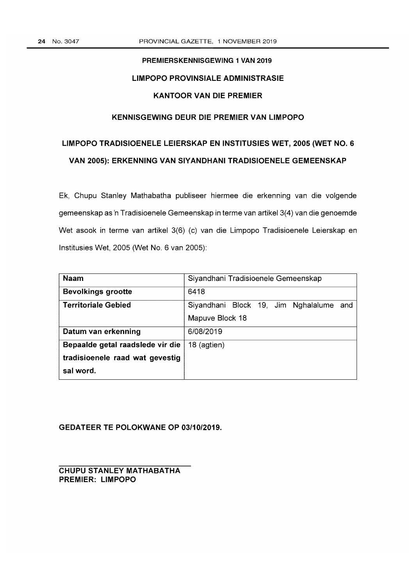### **PREMIERSKENNISGEWING 1 VAN 2019**

### **LIMPOPO PROVINSIALE ADMINISTRASIE**

### **KANTOOR VAN DIE PREMIER**

### **KENNISGEWING DEUR DIE PREMIER VAN LIMPOPO**

# **LIMPOPO TRADISIOENELE LEIERSKAP EN INSTITUSIES WET, 2005 (WET NO.6 VAN 2005): ERKENNING VAN SIYANDHANI TRADISIOENELE GEMEENSKAP**

Ek, Chupu Stanley Mathabatha publiseer hiermee die erkenning van die volgende gemeenskap as'n Tradisioenele Gemeenskap in terme van artikeI3(4) van die genoemde Wet asook in terme van artikel 3(6) (c) van die Limpopo Tradisioenele Leierskap en Institusies Wet, 2005 (Wet No. 6 van 2005):

| <b>Naam</b>                      | Siyandhani Tradisioenele Gemeenskap        |
|----------------------------------|--------------------------------------------|
| <b>Bevolkings grootte</b>        | 6418                                       |
| <b>Territoriale Gebied</b>       | Siyandhani Block 19, Jim Nghalalume<br>and |
|                                  | Mapuve Block 18                            |
| Datum van erkenning              | 6/08/2019                                  |
| Bepaalde getal raadslede vir die | 18 (agtien)                                |
| tradisioenele raad wat gevestig  |                                            |
| sal word.                        |                                            |

**GEDATEER TE POLOKWANE OP 03/10/2019.** 

**CHUPU STANLEY MATHABATHA PREMIER: LIMPOPO**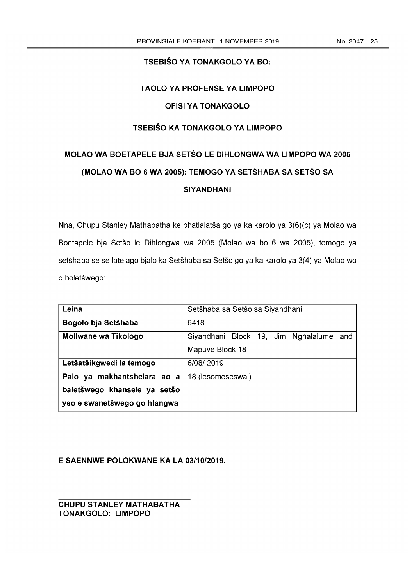### TSEBISO YA TONAKGOlO YA BO:

# TAOlO YA PROFENSE YA LIMPOPO

### OFISI YA TONAKGOlO

### TSEBISO KA TONAKGOlO YA LIMPOPO

# MOlAO WA BOETAPElE BJA SETSO lE DIHlONGWA WA LIMPOPO WA 2005 (MOlAO WA BO 6 WA 2005): TEMOGO YA SETSHABA SA SETSO SA SIYANDHANI

Nna, Chupu Stanley Mathabatha ke phatlalatša go ya ka karolo ya 3(6)(c) ya Molao wa Boetapele bja Setšo le Dihlongwa wa 2005 (Molao wa bo 6 wa 2005), temogo ya setšhaba se se latelago bjalo ka Setšhaba sa Setšo go ya ka karolo ya 3(4) ya Molao wo o boletšwego:

| Leina                        | Setšhaba sa Setšo sa Siyandhani         |
|------------------------------|-----------------------------------------|
| Bogolo bja Setšhaba          | 6418                                    |
| Mollwane wa Tikologo         | Siyandhani Block 19, Jim Nghalalume and |
|                              | Mapuve Block 18                         |
| Letšatšikgwedi la temogo     | 6/08/2019                               |
| Palo ya makhantshelara ao a  | 18 (lesomeseswai)                       |
| baletšwego khansele ya setšo |                                         |
| yeo e swanetšwego go hlangwa |                                         |

### E SAENNWE POlOKWANE KA lA 03/10/2019.

CHUPU STANLEY MATHABATHA TONAKGOlO: LIMPOPO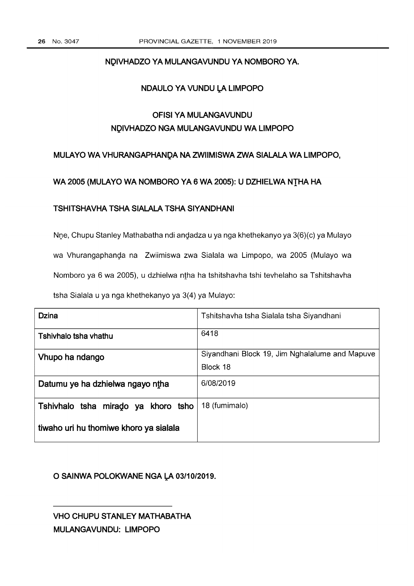### **NlllVHADZO YA MULANGAVUNDU YA NOMBORO VA.**

### **NDAULO YA VUNDU LA LIMPOPO**

# **OFISI YA MULANGAVUNDU NlllVHADZO NGA MULANGAVUNDU WA LIMPOPO**

### MULAYO WA VHURANGAPHANDA NA ZWIIMISWA ZWA SIALALA WA LIMPOPO,

**WA 2005 (MULAYO WA NOMBORO YA 6 WA 2005): U DZHIELWA NTHA HA** 

### **TSHITSHAVHA TSHA SIALALA TSHA SIYANDHANI**

Noe, Chupu Stanley Mathabatha ndi angadza u ya nga khethekanyo ya 3(6)(c) ya Mulayo wa Vhurangaphanga na Zwiimiswa zwa Sialala wa Limpopo, wa 2005 (Mulayo wa Nomboro ya 6 wa 2005), u dzhielwa ntha ha tshitshavha tshi tevhelaho sa Tshitshavha tsha Sialala u ya nga khethekanyo ya 3(4) ya Mulayo:

| <b>Dzina</b>                           | Tshitshavha tsha Sialala tsha Siyandhani       |
|----------------------------------------|------------------------------------------------|
| Tshivhalo tsha vhathu                  | 6418                                           |
| Vhupo ha ndango                        | Siyandhani Block 19, Jim Nghalalume and Mapuve |
|                                        | Block 18                                       |
| Datumu ye ha dzhielwa ngayo ntha       | 6/08/2019                                      |
| Tshivhalo tsha mirado ya khoro tsho    | 18 (fumimalo)                                  |
| tiwaho uri hu thomiwe khoro ya sialala |                                                |

**O SAINWA POLOKWANE NGA LA 03/10/2019.** 

**VHO CHUPU STANLEY MATHABATHA MULANGAVUNDU: LIMPOPO**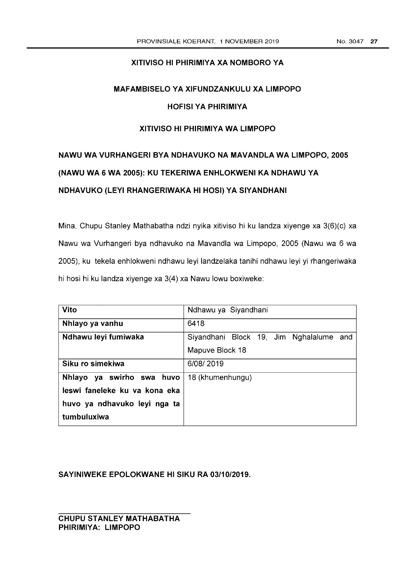### **XITIVISO HI PHIRIMIYA XA NOMBORO YA**

# **MAFAMBISELO YA XIFUNDZANKULU XA LIMPOPO HOFISI YA PHIRIMIYA**

### **XITIVISO HI PHIRIMIYA WA LIMPOPO**

# **NAWU WA VURHANGERI BYA NDHAVUKO NA MAVANDLA WA LIMPOPO, 2005 (NAWU WA 6 WA 2005): KU TEKERIWA ENHLOKWENI KA NDHAWU YA NDHAVUKO (LEYI RHANGERIWAKA HI HOSI) YA SIYANDHANI**

Mina, Chupu Stanley Mathabatha ndzi nyika xitiviso hi ku landza xiyenge xa 3(6)(c) xa Nawu wa Vurhangeri bya ndhavuko na Mavandla wa Limpopo, 2005 (Nawu wa 6 wa 2005), ku tekela enhlokweni ndhawu leyi landzelaka tanihi ndhawu leyi yi rhangeriwaka hi hosi hi ku landza xiyenge xa 3(4) xa Nawu lowu boxiweke:

| Vito                          | Ndhawu ya Siyandhani                    |
|-------------------------------|-----------------------------------------|
| Nhlayo ya vanhu               | 6418                                    |
| Ndhawu leyi fumiwaka          | Siyandhani Block 19, Jim Nghalalume and |
|                               | Mapuve Block 18                         |
| Siku ro simekiwa              | 6/08/2019                               |
| Nhlayo ya swirho swa huvo     | 18 (khumenhungu)                        |
| leswi faneleke ku va kona eka |                                         |
| huvo ya ndhavuko leyi nga ta  |                                         |
| tumbuluxiwa                   |                                         |

### **SAYINIWEKE EPOLOKWANE HI SIKU RA 03/10/2019.**

**CHUPU STANLEY MATHABATHA PHIRIMIYA: LIMPOPO**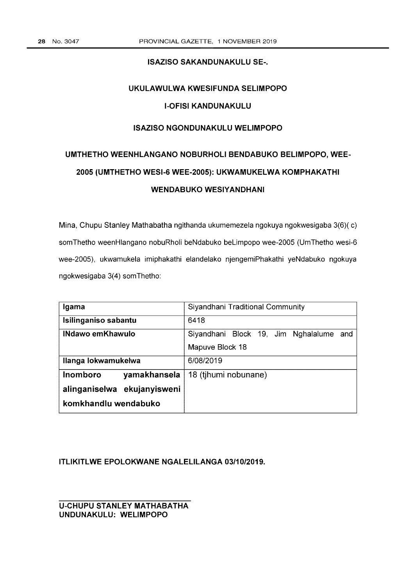### **ISAZISO SAKANDUNAKULU SE-.**

# **UKULAWULWA KWESIFUNDA SELIMPOPO**

### **I-OFISI KANDUNAKULU**

### **ISAZISO NGONDUNAKULU WELIMPOPO**

# **UMTHETHO WEENHLANGANO NOBURHOLI BENDABUKO BELIMPOPO, WEE-2005 (UMTHETHO WESI-6 WEE-2005): UKWAMUKELWA KOMPHAKATHI WENDABUKO WESIYANDHANI**

Mina, Chupu Stanley Mathabatha ngithanda ukumemezela ngokuya ngokwesigaba 3(6)( c) somThetho weenHlangano nobuRholi beNdabuko beLimpopo wee-2005 (UmThetho wesi-6 wee-2005), ukwamukela imiphakathi elandelako njengemiPhakathi yeNdabuko ngokuya ngokwesigaba 3(4) somThetho:

| Igama                       | Siyandhani Traditional Community        |
|-----------------------------|-----------------------------------------|
| Isilinganiso sabantu        | 6418                                    |
| INdawo emKhawulo            | Siyandhani Block 19, Jim Nghalalume and |
|                             | Mapuve Block 18                         |
| Ilanga lokwamukelwa         | 6/08/2019                               |
| yamakhansela<br>Inomboro    | 18 (tihumi nobunane)                    |
| alinganiselwa ekujanyisweni |                                         |
| komkhandlu wendabuko        |                                         |

### **ITLIKITLWE EPOLOKWANE NGALELILANGA 03/10/2019.**

**U-CHUPU STANLEY MATHABATHA UNDUNAKULU: WELIMPOPO**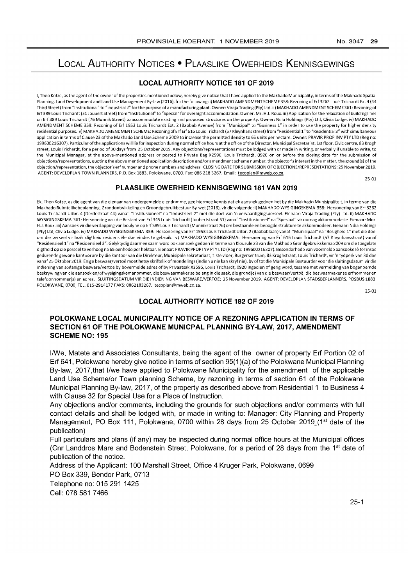# LOCAL AUTHORITY NOTICES • PLAASLIKE OWERHEIDS KENNISGEWINGS

### LOCAL AUTHORITY NOTICE 181 OF 2019

I, Thea Kotze, as the agent of the owner of the properties mentioned below, hereby give notice that I have applied to the Makhado Municipality, in terms of the Makhado Spatial Planning, Land Development and Land Use Management By-law (2016), forthe following: i) MAKHADO AMENDMENT SCHEME 3S8: Rezoning of Erf3262 Louis Trichardt Ext 4 (44 Third Street) from "Institutional" to "Industrial 2" forthe purpose of a manufacturing plant. Owner: Viraja Trading (Pty) Ltd. ii) MAKHADO AMENDMENT SCHEME 361: Rezoning of Erf 389 Louis Trichardt (51 Joubert Street) from "Institutional" to "Special" for overnight accommodation. Owner: Mr. H.J. Roux. iii) Application for the relaxation of building lines on Erf 389 Louis Trichardt (76 Munnik Street) to accommodate existing and proposed structures on the property. Owner: Ndia Holdings (Pty) Ltd, Clivia Lodge. iv) MAKHADO AMENDMENT SCHEME 3S9: Rezoning of Erf 19S3 Louis Trichardt Ext. 2 (Baobab Avenue) from "Municipal" to "Business 1" in order to use the property for higher density residential purposes. v) MAKHADO AMENDMENT SCHEME: Rezoning of Erf Erf 616 Louis Trichardt (S7 Kleynhans street) from "Residential 1" to "Residential 3" with simultaneous application in terms of Clause 23 of the Makhado Land Use Scheme 2009 to increase the permitted density to 6S units per hectare. Owner: PRAVIR PROP INV PTY LTD (Reg no: 199600216307). Particular of the applications will lie for inspection during normal office hours at the office of the Director, Municipal Secretariat, 1st floor, Civic centre, 83 Krogh street, Louis Trichardt, for a period of 30 days from 2S October 2019. Any objections/representations must be lodged with or made in writing, or verbally if unable to write, to the Municipal Manager, at the above-mentioned address or posted to Private Bag X2S96, Louis Trichardt, 0920 on or before the closing date for the submission of objections/representations, quoting the above mentioned application description and/or amendment scheme number, the objector's interest in the matter, the ground(s) of the objection/representation, the objector's erfnumber and phone numbers and address. CLOSING DATE FOR SUBMISSION OF OBJECTIONS/REPRESENTATIONS: 25 November 2019. AGENT: DEVELOPLAN TOWN PLANNERS, P.O. Box 1883, Polokwane, 0700. Fax: 086 218 3267. Email: tecoplan@mweb.co.za.

25-01

### PLAASLIKE OWERHEID KENNISGEWING 181 VAN 2019

Ek, Thea Kotze, as die agent van die eienaar van ondergemelde eiendomme, gee hiermee kennis dat ek aansoek gedoen het by die Makhado Munisipaliteit, in terme van die Makhado Ruimtelikebeplanning, Grondontwikkeling en Groondgebruikbestuur By-wet (2016), vir die volgende: i) MAKHADO WYSIGINGSKEMA 358: Hersonering van Erf 3262 Louis Trichardt Uitbr. 4 (Derdestraat 44) vanaf "Institusioneel" na "Industrieel 2" met die doel van 'n vervaardigingsperseel. Eienaar: Viraja Trading (Pty) Ltd. ii) MAKHADO WYSIGINGSKEMA 361: Hersonering van die Restant van Erf 345 Louis Trichardt (Joubertstraat 51) vanaf "Institusioneel" na "Spesiaal" vir oornag akkommodasie. Eienaar: Mnr. H.J. Raux. iii) Aansoek vir die verslapping van boulyne op Erf389 Louis Trichardt (Munnikstraat 76) am bestaande en beoogde strukture te akkommodeer. Eienaar: Ndia Holdings (Pty) Ltd, Clivia Lodge. iv) MAKHADO WYSIGINGSKEMA 359: Hersonering van Erf 1953 Louis Trichardt Uitbr. 2 (Baobablaan) vanaf "Munisipaal" na "Besigheid 1" met die doel am die perseel vir hoer digtheid residensiele doeleindes te gebruik. v) MAKHADO WYSIGINGSKEMA: Hersonering van Erf 616 Louis Trichardt (57 Kleynhansstraat) vanaf "ResidensieeI1" na "ResidensieeI3". Gelyktydig daarmee saam word oak aansoek gedoen in terme van Klousule 23 van die Makhado Grondgebruikskema 2009 am die toegelate digtheid op die perseel te verhoog na 65 eenhede per hektaar. Eienaar: PRAVIR PROP INV PTY LTD (Reg no: 199600216307). Besonderhede van voormelde aansoeke Ie ter insae gedurende gewone kantoorure by die kantoor van die Direkteur, Munisipale sekretariaat, 1 ste vloer, Burgersentrum, 83 Kroghstraat, Louis Trichardt, vir 'n tydperk van 30 dae vanaf 25 Oktober 2019. Enige beswaar/vertoë moet hetsy skriftelik of mondelings (indien u nie kan skryf nie), by of tot die Munisipale Bestuurder voor die sluitingsdatum vir die indiening van sodanige besware/vertoë by bovermelde adres of by Privaatsak X2596, Louis Trichardt, 0920 ingedien of gerig word, tesame met vermelding van bogenoemde beskrywing van die aansoek en/of wysigingskemanommer, die beswaarmaker se belang in die saak, die grond(e) van die beswaar/vertoë, die beswaarmaker se erfnommer en telefoonnommer(s) en adres. SLUITINGSDATUM VIR DIE INDIENING VAN BESWARE/VERTOE: 25 November 2019. AGENT: DEVELOPLAN STADSBEPLANNERS, POSBUS 1883, POLOKWANE, 0700, TEL. 015-2914177 FAKS: 0862183267. tecoplan@mweb.co.za.

25-01

### LOCAL AUTHORITY NOTICE 182 OF 2019

### POLOKWANE LOCAL MUNICIPALITY NOTICE OF A REZONING APPLICATION IN TERMS OF SECTION 61 OF THE POLOKWANE MUNICPAL PLANNING BY-LAW, 2017, AMENDMENT SCHEME NO: 195

I/We, Matete and Associates Consultants, being the agent of the owner of property Erf Portion 02 of Erf 641, Polokwane hereby give notice in terms of section 95(1 )(a) of the Polokwane Municipal Planning By-law, 2017,that I/we have applied to Polokwane Municipality for the amendment of the applicable Land Use Scheme/or Town planning Scheme, by rezoning in terms of section 61 of the Polokwane Municipal Planning By-law, 2017, of the property as described above from Residential 1 to Business 4 with Clause 32 for Special Use for a Place of Instruction.

Any objections and/or comments, including the grounds for such objections and/or comments with full contact details and shall be lodged with, or made in writing to: Manager: City Planning and Property Management, PO Box 111, Polokwane, 0700 within 28 days from 25 October 2019  $1<sup>st</sup>$  date of the publication)

Full particulars and plans (if any) may be inspected during normal office hours at the Municipal offices (Cnr Landdros Mare and Bodenstein Street, Polokwane, for a period of 28 days from the 1<sup>st</sup> date of publication of the notice.

Address of the Applicant: 100 Marshall Street, Office 4 Kruger Park, Polokwane, 0699 PO Box 339, Bendor Park, 0713 Telephone no: 015291 1425

Cell: 078581 7466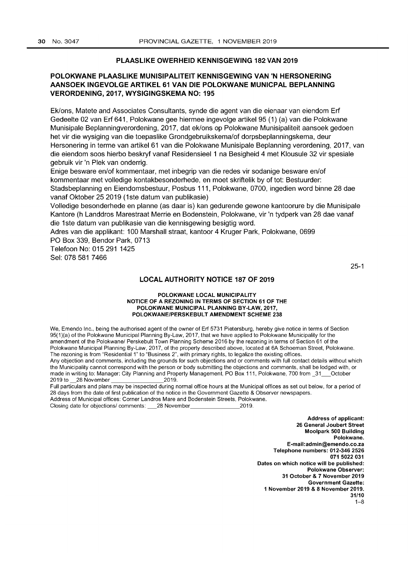### PLAASLIKE OWERHEID KENNISGEWING 182 VAN 2019

### POLOKWANE PLAASLIKE MUNISIPALITEIT KENNISGEWING VAN 'N HERSONERING AANSOEK INGEVOLGE ARTIKEL 61 VAN DIE POLOKWANE MUNICPAL BEPLANNING VERORDENING, 2017, WYSIGINGSKEMA NO: 195

Ek/ons, Matete and Associates Consultants, synde die agent van die eienaar van eiendom Erf Gedeelte 02 van Erf 641, Polokwane gee hiermee ingevolge artikel 95 (1) (a) van die Polokwane Munisipale Beplanningverordening, 2017, dat eklons op Polokwane Munisipaliteit aansoek gedoen het vir die wysiging van die toepaslike Grondgebruikskema/of dorpsbeplanningskema, deur Hersonering in terme van artikel 61 van die Polokwane Munisipale Beplanning verordening, 2017, van die eiendom soos hierbo beskryf vanaf Residensieel 1 na Besigheid 4 met Klousule 32 vir spesiale gebruik vir 'n Plek van onderrig.

Enige besware en/of kommentaar, met inbegrip van die redes vir sodanige besware en/of kommentaar met volledige kontakbesonderhede, en moet skriftelik by of tot: Bestuurder: 8tadsbeplanning en Eiendomsbestuur, Posbus 111, Polokwane, 0700, ingedien word binne 28 dae vanaf Oktober 252019 (1ste datum van publikasie)

Volledige besonderhede en planne (as daar is) kan gedurende gewone kantoorure by die Munisipale Kantore (h Landdros Marestraat Merrie en Bodenstein, Polokwane, vir 'n tydperk van 28 dae vanaf die 1 ste datum van publikasie van die kennisgewing besigtig word.

Adres van die applikant: 100 Marshall straat, kantoor 4 Kruger Park, Polokwane, 0699 PO Box 339, Bendor Park, 0713

Telefoon No: 015291 1425 Sel: 078 581 7466

25-1

### LOCAL AUTHORITY NOTICE 187 OF 2019

#### POLOKWANE LOCAL MUNICIPALITY NOTICE OF A REZONING IN TERMS OF SECTION 61 OF THE POLOKWANE MUNICIPAL PLANNING BY-LAW, 2017, POLOKWANE/PERSKEBULT AMENDMENT SCHEME 238

We, Emendo Inc., being the authorised agent of the owner of Erf 5731 Pietersburg, hereby give notice in terms of Section 95(1 )(a) of the Polokwane Municipal Planning By-Law, 2017, that we have applied to Polokwane Municipality for the amendment of the Polokwane/ Perskebult Town Planning Scheme 2016 by the rezoning in terms of Section 61 of the Polokwane Municipal Planning By-Law, 2017, of the property described above, located at 6A Schoeman Street, Polokwane. The rezoning is from "Residential 1" to "Business 2", with primary rights, to legalize the existing offices. Any objection and comments, including the grounds for such objections and or comments with full contact details without which the Municipality cannot correspond with the person or body submitting the objections and comments, shall be lodged with, or made in writing to: Manager: City Planning and Property Management, PO Box 111, Polokwane, 700 from \_31\_\_October<br>2019 to 28 November 2019. 28 November

Full particulars and plans may be inspected during normal office hours at the Municipal offices as set out below, for a period of 28 days from the date of first publication of the notice in the Government Gazette & Observer newspapers. Address of Municipal offices: Corner Landros Mare and Bodenstein Streets, Polokwane.

Closing date for objections/ comments: \_\_\_28 November \_\_\_\_\_\_\_\_\_\_\_\_\_\_\_\_\_\_\_\_\_\_2019.

Address of applicant: 26 General Joubert Street Moolpark 500 Building Polokwane. E-mail:admin@emendo.co.za Telephone numbers: 012-346 2526 071 5022031 Dates on which notice will be published: Polokwane Observer: 31 October & 7 November 2019 Government Gazette: 1 November 2019 & 8 November 2019. 31/10  $1 - 8$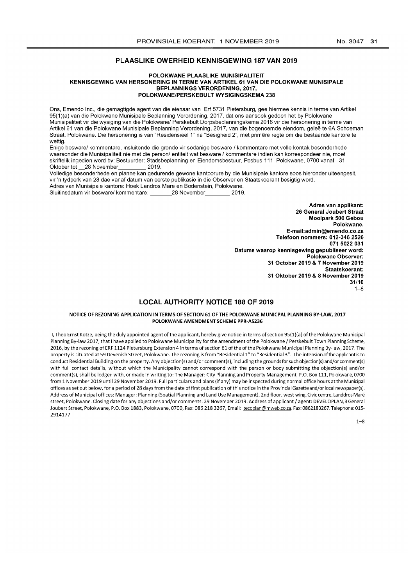### **PLAASLIKE OWERHEID KENNISGEWING 187 VAN 2019**

#### **POLOKWANE PLAASLIKE MUNISIPALITEIT KENNISGEWING VAN HERSONERING IN TERME VAN ARTIKEL 61 VAN DIE POLOKWANE MUNISIPALE BEPLANNINGS VERORDENING, 2017, POLOKWANE/PERSKEBULT WYSIGINGSKEMA 238**

Ons, Emendo Inc., die gemagtigde agent van die eienaar van Erf 5731 Pietersburg, gee hiermee kennis in terme van Artikel 95(1 )(a) van die Polokwane Munisipale Beplanning Verordening, 2017, dat ons aansoek gedoen het by Polokwane Munisipaliteit vir die wysiging van die Polokwanel Perskebult Dorpsbeplanningskema 2016 vir die hersonering in terme van Artikel 61 van die Polokwane Munisipale Beplanning Verordening, 2017, van die bogenoemde eiendom, geleë te 6A Schoeman Straat, Polokwane. Die hersonering is van "ResidensieeI1" na "Besigheid 2", met primere regte om die bestaande kantore te wettig.

Enige beswarel kommentare, insluitende die gronde vir sodanige besware 1 kommentare met volle kontak besonderhede waarsonder die Munisipaliteit nie met die person/ entiteit wat besware / kommentare indien kan korrespondeer nie, moet skriftelik ingedien word by: Bestuurder: Stadsbeplanning en Eiendomsbestuur, Posbus 111, Polokwane, 0700 vanaf<br>Oktober tot 28 November 2019. Oktober tot 28 November 2019.

Volledige besonderhede en planne kan gedurende gewone kantoorure by die Munisipale kantore soos hieronder uiteengesit, vir 'n tydperk van 28 dae vanaf datum van eerste publikasie in die Observer en Staatskoerant besigtig word. Adres van Munisipale kantore: Hoek Landros Mare en Bodenstein, Polokwane.

Sluitinsdatum vir beswarel kommentare: 28 November 2019.

**Adres van applikant: 26 General Joubert Straat Moolpark 500 Gebou Polokwane. E-mail:admin@emendo.co.za Telefoon nommers: 012-3462526 0715022031 Datums waarop kennisgewing gepubliseer word: Polokwane Observer: 31 October 2019 & 7 November 2019 Staats koerant: 31 Oktober 2019 & 8 November 2019 31/10**   $1 - 8$ 

### **LOCAL AUTHORITY NOTICE 188 OF 2019**

#### **NOTICE OF REZONING APPLICATION IN TERMS OF SECTION 61 OF THE POLOKWANE MUNICPAL PLANNING BY-LAW, 2017 POLOKWANE AMENDMENT SCHEME PPR-AS236**

I, Theo Ernst Kotze, being the duly appointed agent of the applicant, hereby give notice in terms of section 95(1)(a) of the Polokwane Municipal Planning By-law 2017, that I have applied to Polokwane Municipality for the amendment of the Polokwane / Perskebult Town Planning Scheme, 2016, by the rezoning of ERF 1124 Pietersburg Extension 4 in terms of section 61 of the of the Polokwane Municipal Planning By-law, 2017. The property is situated at 59 Devenish Street, Polokwane. The rezoning is from "Residential 1" to "Residential 3" . The intension of the applicant is to conduct Residential Building on the property. Any objection(s) and/or comment(s), including the grounds for such objection(s) and/or comment(s) with full contact details, without which the Municipality cannot correspond with the person or body submitting the objection(s) and/or comment(s), shall be lodged with, or made in writing to: The Manager: City Planning and Property Management, P.O. Box 111, Polokwane, 0700 from 1 November 2019 until 29 November 2019. Full particulars and plans (if any) may be inspected during normal office hours at the Municipal offices as set out below, for a period of 28 days from the date offirst publication of this notice in the Provincial Gazette and/or local newspaper(s). Address of Municipal offices: Manager: Planning (Spatial Planning and Land Use Management), 2nd floor, west wing, Civic centre, Landdros Mare street, Polokwane. Closing date for any objections and/or comments: 29 November 2019. Address of applicant / agent: DEVELOPLAN, 3 General Joubert Street, Polokwane, P.O. Box 1883, Polokwane, 0700, Fax: 086 218 3267, Email: tecoplan@mweb.co.za. Fax: 0862183267. Telephone: 015- 2914177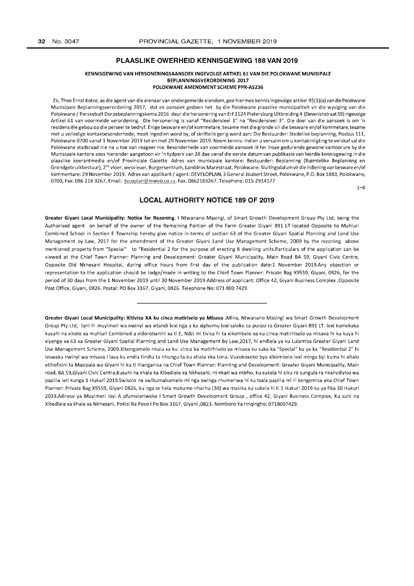### **PLAASLIKE OWERHEID KENNISGEWING 188 VAN 2019**

#### KENNISGEWING VAN HERSONERINGSAANSOEK INGEVOlGE ARTIKEl61 VAN DIE POlOKWANE MUNISIPAlE BEPlANNINGSVERORDENING 2017 POlOKWANE AMENDMENT SCHEME PPR-AS236

Ek, Theo Ernst Kotze, as die agent van die eienaar van ondergemelde eiendom, gee hiermee kennis ingevolge artikel 95(1)(a) van die Polokwane Munisipale Beplanningsverordening 2017, dat ek aansoek gedoen het by die Polokwane plaaslike munisipaliteit vir die wysiging van die Polokwane / Perskebult Dorpsbeplanningskema 2016 deur die hersonering van Erf 1124 Pietersburg Uitbreiding4 (Devenishstraat 59) ingevolge Artikel 61 van voormelde verordening. Die hersonering is vanaf "Residensieel 1" na "Residensieel 3". Die doel van die aansoek is om 'n residensiele gebou op die perseel te bedryf. Enige besware en/of kommetare, tesame met die gronde vir die besware en/of kommetare, tesame met u volledige kontakbesonderhede, moet ingedien word by, of skriftelik gerig word aan: Die Bestuurder: Stedelike beplanning, Posbus 111, Polokwane 0700 vanaf 1 November 2019 tot en met 29 November 2019. Neem kennis: Indien u versuim om u kontakinligting te verskaf sal die Polokwane stadsraad nie na u toe kan reageer nie. Besonderhede van voormelde aansoek Ie ter insae gedurende gewone kantoorure by die Munisipale kantore soos hieronder aangetoon vir 'n tydperk van 28 dae vanaf die eerste datum van publikasie van hierdie kennisgewing in die plaaslike koerantmedia en/of Provinsiale Gazette. Adres van munisipale kantore: Bestuurder: Beplanning (Ruimtelike Beplanning en Grondgebruikbestuur), 2<sup>de</sup> vloer, wesvleuel, Burgersentrum, Landdros Maréstraat, Polokwane. Sluitingsdatum vir die indiening van besware en/of kommentare: 29 November 2019. Adres van applikant / agent: DEVElOPlAN, 3 General Joubert Street, Polokwane, P.O. Box 1883, Polokwane, 0700, Fax: 086 218 3267, Email: tecoplan@mweb.co.za. Fax: 0862183267. Telephone: 015-2914177

1-8

### **LOCAL AUTHORITY NOTICE 189 OF 2019**

Greater Giyani local Municipality: Notice for Rezoning. I Ntwanano Masingi, of Smart Growth Development Group Pty ltd, being the Authorised agent on behalf of the owner of the Remaining Portion of the Farm Greater Giyani 891 LT located Opposite to Muhluri Combined School in Section E Township hereby give notice in terms of section 63 of the Greater Giyani Spatial Planning and land Use Management by law, 2017 for the amendment of the Greater Giyani land Use Management Scheme, 2009 by the rezoning above mentioned property from "Special" to "Residential 2 for the purpose of erecting 8 dwelling units.Particulars of the application can be viewed at the Chief Town Planner: Planning and Development: Greater Giyani Municipality, Main Road BA 59, Giyani Civic Centre, Opposite Old Nkhesani Hospital, during office hours from first day of the publication date:l November 2019.Any objection or representation to the application should be lodge/made in writing to the Chief Town Planner: Private Bag X9559, Giyani, 0826, for the period of 30 days from the 1 November 2019 until 30 November 2019.Address of applicant: Office 42, Giyani Business Complex ,Opposite Post Office, Giyani, 0826. Postal: PO Box 3167, Giyani, 0826. Telephone No: 071 800 7429.

Greater Giyani local Municipality: Xitiviso XA ku cinca matiriselo ya Misava .Mina, Ntwanano Masingi wa Smart Growth Development Group Pty ltd, tani hi muyimeri wa nwinyi wa xitandi lexi nga a ka xiphemu lexi saleke sa purasi ra Greater Giyani 891 LT. lexi kumekaka kusuhi na xikolo xa muhluri Combined a xidorobanini xa ti E, Ndzi mi tivisa hi ta xikombelo xa ku cinca matirhiselo ya misava hi ku kuya hi xiyenge xa 63 xa Greater Giyani Spatial Planning and land Use Management By law,2017, hi endlela ya ku lulamisa Greater Giyani land Use Management Scheme, 2009.Xikongomelo nkulu xa ku cinca ka matirhiselo ya misava ku suka ka "Special" ku ya ka "Residential 2" hi leswaku nwinyi wa misava I lava ku endla tindlu ta nhungu ta ku etlela eka tona. Vuxokoxoko bya xikombelo lexi minga byi kuma hi xitalo etihofisini ta Masipala wa Giyani hi ku ti hlanganisa na Chief Town Planner: Planning and Development: Greater Giyani Municipality, Main road, BA 59,Giyani Civic Centre,Kusuhi na khale ka Xibedlele xa Nkhesani, Hi nkari wa ntirho, ku sukela hi siku ro sungula ra nkanzdiyiso wa papilla leri kunga 1 Hukuri 2019.5wisolo na swibumabumelo mi nga swinga rhumeriwa hi ku tsala papilla mi ri kongomisa eka Chief Town Planner: Private Bag X9559, Giyani 0826, ku nga se hela makume-nharhu (30) wa masiku ku sukela hi ti 1 Hukuri 2019 ku ya fika 30 Hukuri 2019.Adirese ya Muyimeri loyi A pfumeleriweke I Smart Growth Development Group, office 42, Giyani Business Complex, Ku suhi na Xibedlele xa khale xa Nkhesani. Pokisi Ra Poso I Po Box 3167, Giyani ,0823. Nomboro Ya rinqingho: 0718007429.